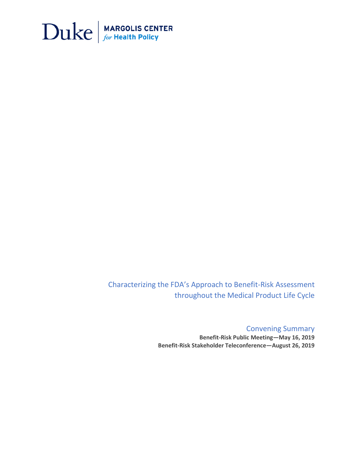

Characterizing the FDA's Approach to Benefit-Risk Assessment throughout the Medical Product Life Cycle

> Convening Summary **Benefit-Risk Public Meeting—May 16, 2019 Benefit-Risk Stakeholder Teleconference—August 26, 2019**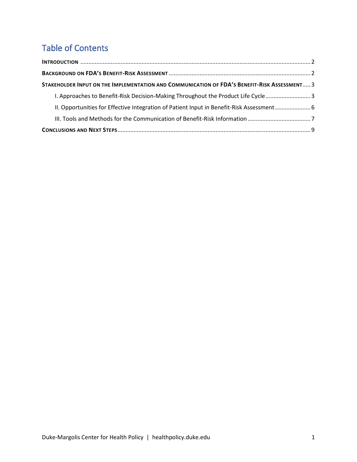# Table of Contents

| STAKEHOLDER INPUT ON THE IMPLEMENTATION AND COMMUNICATION OF FDA'S BENEFIT-RISK ASSESSMENT 3 |  |
|----------------------------------------------------------------------------------------------|--|
| 1. Approaches to Benefit-Risk Decision-Making Throughout the Product Life Cycle3             |  |
| II. Opportunities for Effective Integration of Patient Input in Benefit-Risk Assessment      |  |
|                                                                                              |  |
|                                                                                              |  |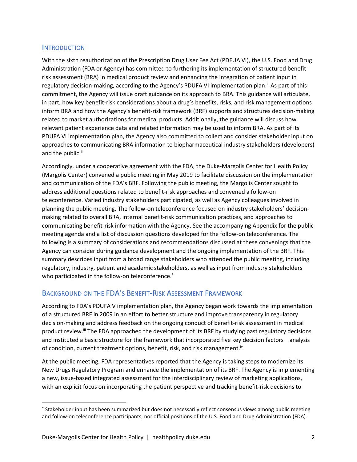## <span id="page-2-0"></span>**INTRODUCTION**

With the sixth reauthorization of the Prescription Drug User Fee Act (PDFUA VI), the U.S. Food and Drug Administration (FDA or Agency) has committed to furthering its implementation of structured benefitrisk assessment (BRA) in medical product review and enhancing the integration of patient input in regulatory decision-making, according to the Agency's PDUFA VI implementation plan.<sup>i</sup> As part of this commitment, the Agency will issue draft guidance on its approach to BRA. This guidance will articulate, in part, how key benefit-risk considerations about a drug's benefits, risks, and risk management options inform BRA and how the Agency's benefit-risk framework (BRF) supports and structures decision-making related to market authorizations for medical products. Additionally, the guidance will discuss how relevant patient experience data and related information may be used to inform BRA. As part of its PDUFA VI implementation plan, the Agency also committed to collect and consider stakeholder input on approaches to communicating BRA information to biopharmaceutical industry stakeholders (developers) and the public.<sup>ii</sup>

Accordingly, under a cooperative agreement with the FDA, the Duke-Margolis Center for Health Policy (Margolis Center) convened a public meeting in May 2019 to facilitate discussion on the implementation and communication of the FDA's BRF. Following the public meeting, the Margolis Center sought to address additional questions related to benefit-risk approaches and convened a follow-on teleconference. Varied industry stakeholders participated, as well as Agency colleagues involved in planning the public meeting. The follow-on teleconference focused on industry stakeholders' decisionmaking related to overall BRA, internal benefit-risk communication practices, and approaches to communicating benefit-risk information with the Agency. See the accompanying Appendix for the public meeting agenda and a list of discussion questions developed for the follow-on teleconference. The following is a summary of considerations and recommendations discussed at these convenings that the Agency can consider during guidance development and the ongoing implementation of the BRF. This summary describes input from a broad range stakeholders who attended the public meeting, including regulatory, industry, patient and academic stakeholders, as well as input from industry stakeholders who participated in the follow-on teleconference.<sup>\*</sup>

## <span id="page-2-1"></span>BACKGROUND ON THE FDA'S BENEFIT-RISK ASSESSMENT FRAMEWORK

According to FDA's PDUFA V implementation plan, the Agency began work towards the implementation of a structured BRF in 2009 in an effort to better structure and improve transparency in regulatory decision-making and address feedback on the ongoing conduct of benefit-risk assessment in medical product review.<sup>iii</sup> The FDA approached the development of its BRF by studying past regulatory decisions and instituted a basic structure for the framework that incorporated five key decision factors—analysis of condition, current treatment options, benefit, risk, and risk management.<sup>iv</sup>

At the public meeting, FDA representatives reported that the Agency is taking steps to modernize its New Drugs Regulatory Program and enhance the implementation of its BRF. The Agency is implementing a new, issue-based integrated assessment for the interdisciplinary review of marketing applications, with an explicit focus on incorporating the patient perspective and tracking benefit-risk decisions to

<sup>\*</sup> Stakeholder input has been summarized but does not necessarily reflect consensus views among public meeting and follow-on teleconference participants, nor official positions of the U.S. Food and Drug Administration (FDA).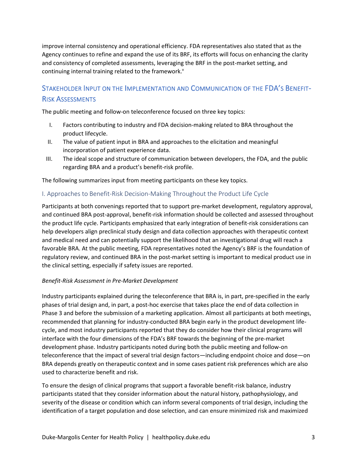improve internal consistency and operational efficiency. FDA representatives also stated that as the Agency continues to refine and expand the use of its BRF, its efforts will focus on enhancing the clarity and consistency of completed assessments, leveraging the BRF in the post-market setting, and continuing internal training related to the framework.<sup>v</sup>

## <span id="page-3-0"></span>STAKEHOLDER INPUT ON THE IMPLEMENTATION AND COMMUNICATION OF THE FDA'S BENEFIT-RISK ASSESSMENTS

The public meeting and follow-on teleconference focused on three key topics:

- I. Factors contributing to industry and FDA decision-making related to BRA throughout the product lifecycle.
- II. The value of patient input in BRA and approaches to the elicitation and meaningful incorporation of patient experience data.
- III. The ideal scope and structure of communication between developers, the FDA, and the public regarding BRA and a product's benefit-risk profile.

The following summarizes input from meeting participants on these key topics.

## <span id="page-3-1"></span>I. Approaches to Benefit-Risk Decision-Making Throughout the Product Life Cycle

Participants at both convenings reported that to support pre-market development, regulatory approval, and continued BRA post-approval, benefit-risk information should be collected and assessed throughout the product life cycle. Participants emphasized that early integration of benefit-risk considerations can help developers align preclinical study design and data collection approaches with therapeutic context and medical need and can potentially support the likelihood that an investigational drug will reach a favorable BRA. At the public meeting, FDA representatives noted the Agency's BRF is the foundation of regulatory review, and continued BRA in the post-market setting is important to medical product use in the clinical setting, especially if safety issues are reported.

## *Benefit-Risk Assessment in Pre-Market Development*

Industry participants explained during the teleconference that BRA is, in part, pre-specified in the early phases of trial design and, in part, a post-hoc exercise that takes place the end of data collection in Phase 3 and before the submission of a marketing application. Almost all participants at both meetings, recommended that planning for industry-conducted BRA begin early in the product development lifecycle, and most industry participants reported that they do consider how their clinical programs will interface with the four dimensions of the FDA's BRF towards the beginning of the pre-market development phase. Industry participants noted during both the public meeting and follow-on teleconference that the impact of several trial design factors—including endpoint choice and dose—on BRA depends greatly on therapeutic context and in some cases patient risk preferences which are also used to characterize benefit and risk.

To ensure the design of clinical programs that support a favorable benefit-risk balance, industry participants stated that they consider information about the natural history, pathophysiology, and severity of the disease or condition which can inform several components of trial design, including the identification of a target population and dose selection, and can ensure minimized risk and maximized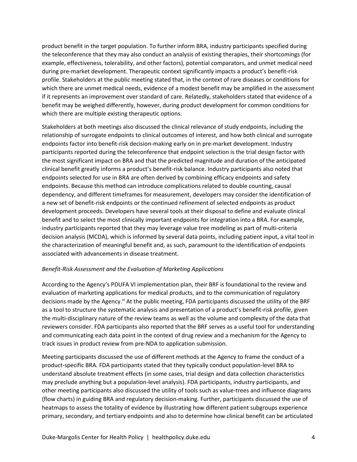product benefit in the target population. To further inform BRA, industry participants specified during the teleconference that they may also conduct an analysis of existing therapies, their shortcomings (for example, effectiveness, tolerability, and other factors), potential comparators, and unmet medical need during pre-market development. Therapeutic context significantly impacts a product's benefit-risk profile. Stakeholders at the public meeting stated that, in the context of rare diseases or conditions for which there are unmet medical needs, evidence of a modest benefit may be amplified in the assessment if it represents an improvement over standard of care. Relatedly, stakeholders stated that evidence of a benefit may be weighed differently, however, during product development for common conditions for which there are multiple existing therapeutic options.

Stakeholders at both meetings also discussed the clinical relevance of study endpoints, including the relationship of surrogate endpoints to clinical outcomes of interest, and how both clinical and surrogate endpoints factor into benefit-risk decision-making early on in pre-market development. Industry participants reported during the teleconference that endpoint selection is the trial design factor with the most significant impact on BRA and that the predicted magnitude and duration of the anticipated clinical benefit greatly informs a product's benefit-risk balance. Industry participants also noted that endpoints selected for use in BRA are often derived by combining efficacy endpoints and safety endpoints. Because this method can introduce complications related to double counting, causal dependency, and different timeframes for measurement, developers may consider the identification of a new set of benefit-risk endpoints or the continued refinement of selected endpoints as product development proceeds. Developers have several tools at their disposal to define and evaluate clinical benefit and to select the most clinically important endpoints for integration into a BRA. For example, industry participants reported that they may leverage value tree modeling as part of multi-criteria decision analysis (MCDA), which is informed by several data points, including patient input, a vital tool in the characterization of meaningful benefit and, as such, paramount to the identification of endpoints associated with advancements in disease treatment.

## *Benefit-Risk Assessment and the Evaluation of Marketing Applications*

According to the Agency's PDUFA VI implementation plan, their BRF is foundational to the review and evaluation of marketing applications for medical products, and to the communication of regulatory decisions made by the Agency.<sup>vi</sup> At the public meeting, FDA participants discussed the utility of the BRF as a tool to structure the systematic analysis and presentation of a product's benefit-risk profile, given the multi-disciplinary nature of the review teams as well as the volume and complexity of the data that reviewers consider. FDA participants also reported that the BRF serves as a useful tool for understanding and communicating each data point in the context of drug review and a mechanism for the Agency to track issues in product review from pre-NDA to application submission.

Meeting participants discussed the use of different methods at the Agency to frame the conduct of a product-specific BRA. FDA participants stated that they typically conduct population-level BRA to understand absolute treatment effects (in some cases, trial design and data collection characteristics may preclude anything but a population-level analysis). FDA participants, industry participants, and other meeting participants also discussed the utility of tools such as value-trees and influence diagrams (flow charts) in guiding BRA and regulatory decision-making. Further, participants discussed the use of heatmaps to assess the totality of evidence by illustrating how different patient subgroups experience primary, secondary, and tertiary endpoints and also to determine how clinical benefit can be articulated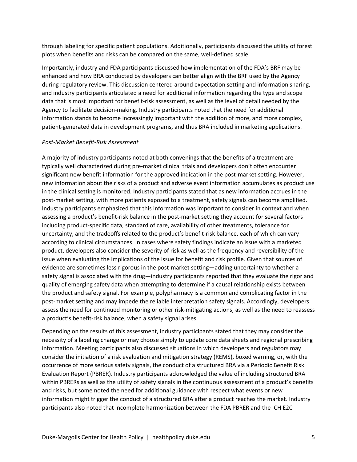through labeling for specific patient populations. Additionally, participants discussed the utility of forest plots when benefits and risks can be compared on the same, well-defined scale.

Importantly, industry and FDA participants discussed how implementation of the FDA's BRF may be enhanced and how BRA conducted by developers can better align with the BRF used by the Agency during regulatory review. This discussion centered around expectation setting and information sharing, and industry participants articulated a need for additional information regarding the type and scope data that is most important for benefit-risk assessment, as well as the level of detail needed by the Agency to facilitate decision-making. Industry participants noted that the need for additional information stands to become increasingly important with the addition of more, and more complex, patient-generated data in development programs, and thus BRA included in marketing applications.

## *Post-Market Benefit-Risk Assessment*

A majority of industry participants noted at both convenings that the benefits of a treatment are typically well characterized during pre-market clinical trials and developers don't often encounter significant new benefit information for the approved indication in the post-market setting. However, new information about the risks of a product and adverse event information accumulates as product use in the clinical setting is monitored. Industry participants stated that as new information accrues in the post-market setting, with more patients exposed to a treatment, safety signals can become amplified. Industry participants emphasized that this information was important to consider in context and when assessing a product's benefit-risk balance in the post-market setting they account for several factors including product-specific data, standard of care, availability of other treatments, tolerance for uncertainty, and the tradeoffs related to the product's benefit-risk balance, each of which can vary according to clinical circumstances. In cases where safety findings indicate an issue with a marketed product, developers also consider the severity of risk as well as the frequency and reversibility of the issue when evaluating the implications of the issue for benefit and risk profile. Given that sources of evidence are sometimes less rigorous in the post-market setting—adding uncertainty to whether a safety signal is associated with the drug—industry participants reported that they evaluate the rigor and quality of emerging safety data when attempting to determine if a causal relationship exists between the product and safety signal. For example, polypharmacy is a common and complicating factor in the post-market setting and may impede the reliable interpretation safety signals. Accordingly, developers assess the need for continued monitoring or other risk-mitigating actions, as well as the need to reassess a product's benefit-risk balance, when a safety signal arises.

Depending on the results of this assessment, industry participants stated that they may consider the necessity of a labeling change or may choose simply to update core data sheets and regional prescribing information. Meeting participants also discussed situations in which developers and regulators may consider the initiation of a risk evaluation and mitigation strategy (REMS), boxed warning, or, with the occurrence of more serious safety signals, the conduct of a structured BRA via a Periodic Benefit Risk Evaluation Report (PBRER). Industry participants acknowledged the value of including structured BRA within PBRERs as well as the utility of safety signals in the continuous assessment of a product's benefits and risks, but some noted the need for additional guidance with respect what events or new information might trigger the conduct of a structured BRA after a product reaches the market. Industry participants also noted that incomplete harmonization between the FDA PBRER and the ICH E2C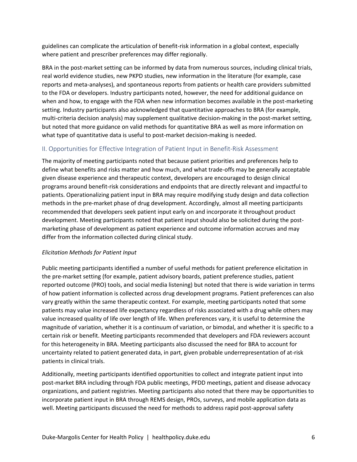guidelines can complicate the articulation of benefit-risk information in a global context, especially where patient and prescriber preferences may differ regionally.

BRA in the post-market setting can be informed by data from numerous sources, including clinical trials, real world evidence studies, new PKPD studies, new information in the literature (for example, case reports and meta-analyses), and spontaneous reports from patients or health care providers submitted to the FDA or developers. Industry participants noted, however, the need for additional guidance on when and how, to engage with the FDA when new information becomes available in the post-marketing setting. Industry participants also acknowledged that quantitative approaches to BRA (for example, multi-criteria decision analysis) may supplement qualitative decision-making in the post-market setting, but noted that more guidance on valid methods for quantitative BRA as well as more information on what type of quantitative data is useful to post-market decision-making is needed.

## <span id="page-6-0"></span>II. Opportunities for Effective Integration of Patient Input in Benefit-Risk Assessment

The majority of meeting participants noted that because patient priorities and preferences help to define what benefits and risks matter and how much, and what trade-offs may be generally acceptable given disease experience and therapeutic context, developers are encouraged to design clinical programs around benefit-risk considerations and endpoints that are directly relevant and impactful to patients. Operationalizing patient input in BRA may require modifying study design and data collection methods in the pre-market phase of drug development. Accordingly, almost all meeting participants recommended that developers seek patient input early on and incorporate it throughout product development. Meeting participants noted that patient input should also be solicited during the postmarketing phase of development as patient experience and outcome information accrues and may differ from the information collected during clinical study.

## *Elicitation Methods for Patient Input*

Public meeting participants identified a number of useful methods for patient preference elicitation in the pre-market setting (for example, patient advisory boards, patient preference studies, patient reported outcome (PRO) tools, and social media listening) but noted that there is wide variation in terms of how patient information is collected across drug development programs. Patient preferences can also vary greatly within the same therapeutic context. For example, meeting participants noted that some patients may value increased life expectancy regardless of risks associated with a drug while others may value increased quality of life over length of life. When preferences vary, it is useful to determine the magnitude of variation, whether it is a continuum of variation, or bimodal, and whether it is specific to a certain risk or benefit. Meeting participants recommended that developers and FDA reviewers account for this heterogeneity in BRA. Meeting participants also discussed the need for BRA to account for uncertainty related to patient generated data, in part, given probable underrepresentation of at-risk patients in clinical trials.

Additionally, meeting participants identified opportunities to collect and integrate patient input into post-market BRA including through FDA public meetings, PFDD meetings, patient and disease advocacy organizations, and patient registries. Meeting participants also noted that there may be opportunities to incorporate patient input in BRA through REMS design, PROs, surveys, and mobile application data as well. Meeting participants discussed the need for methods to address rapid post-approval safety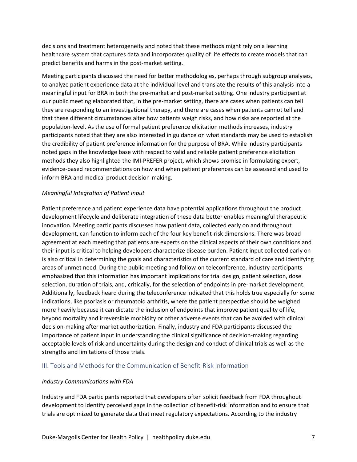decisions and treatment heterogeneity and noted that these methods might rely on a learning healthcare system that captures data and incorporates quality of life effects to create models that can predict benefits and harms in the post-market setting.

Meeting participants discussed the need for better methodologies, perhaps through subgroup analyses, to analyze patient experience data at the individual level and translate the results of this analysis into a meaningful input for BRA in both the pre-market and post-market setting. One industry participant at our public meeting elaborated that, in the pre-market setting, there are cases when patients can tell they are responding to an investigational therapy, and there are cases when patients cannot tell and that these different circumstances alter how patients weigh risks, and how risks are reported at the population-level. As the use of formal patient preference elicitation methods increases, industry participants noted that they are also interested in guidance on what standards may be used to establish the credibility of patient preference information for the purpose of BRA. While industry participants noted gaps in the knowledge base with respect to valid and reliable patient preference elicitation methods they also highlighted the IMI-PREFER project, which shows promise in formulating expert, evidence-based recommendations on how and when patient preferences can be assessed and used to inform BRA and medical product decision-making.

## *Meaningful Integration of Patient Input*

Patient preference and patient experience data have potential applications throughout the product development lifecycle and deliberate integration of these data better enables meaningful therapeutic innovation. Meeting participants discussed how patient data, collected early on and throughout development, can function to inform each of the four key benefit-risk dimensions. There was broad agreement at each meeting that patients are experts on the clinical aspects of their own conditions and their input is critical to helping developers characterize disease burden. Patient input collected early on is also critical in determining the goals and characteristics of the current standard of care and identifying areas of unmet need. During the public meeting and follow-on teleconference, industry participants emphasized that this information has important implications for trial design, patient selection, dose selection, duration of trials, and, critically, for the selection of endpoints in pre-market development. Additionally, feedback heard during the teleconference indicated that this holds true especially for some indications, like psoriasis or rheumatoid arthritis, where the patient perspective should be weighed more heavily because it can dictate the inclusion of endpoints that improve patient quality of life, beyond mortality and irreversible morbidity or other adverse events that can be avoided with clinical decision-making after market authorization. Finally, industry and FDA participants discussed the importance of patient input in understanding the clinical significance of decision-making regarding acceptable levels of risk and uncertainty during the design and conduct of clinical trials as well as the strengths and limitations of those trials.

## <span id="page-7-0"></span>III. Tools and Methods for the Communication of Benefit-Risk Information

## *Industry Communications with FDA*

Industry and FDA participants reported that developers often solicit feedback from FDA throughout development to identify perceived gaps in the collection of benefit-risk information and to ensure that trials are optimized to generate data that meet regulatory expectations. According to the industry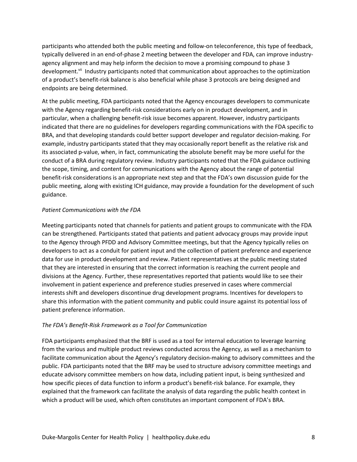participants who attended both the public meeting and follow-on teleconference, this type of feedback, typically delivered in an end-of-phase 2 meeting between the developer and FDA, can improve industryagency alignment and may help inform the decision to move a promising compound to phase 3 development.<sup>vii</sup> Industry participants noted that communication about approaches to the optimization of a product's benefit-risk balance is also beneficial while phase 3 protocols are being designed and endpoints are being determined.

At the public meeting, FDA participants noted that the Agency encourages developers to communicate with the Agency regarding benefit-risk considerations early on in product development, and in particular, when a challenging benefit-risk issue becomes apparent. However, industry participants indicated that there are no guidelines for developers regarding communications with the FDA specific to BRA, and that developing standards could better support developer and regulator decision-making. For example, industry participants stated that they may occasionally report benefit as the relative risk and its associated p-value, when, in fact, communicating the absolute benefit may be more useful for the conduct of a BRA during regulatory review. Industry participants noted that the FDA guidance outlining the scope, timing, and content for communications with the Agency about the range of potential benefit-risk considerations is an appropriate next step and that the FDA's own discussion guide for the public meeting, along with existing ICH guidance, may provide a foundation for the development of such guidance.

#### *Patient Communications with the FDA*

Meeting participants noted that channels for patients and patient groups to communicate with the FDA can be strengthened. Participants stated that patients and patient advocacy groups may provide input to the Agency through PFDD and Advisory Committee meetings, but that the Agency typically relies on developers to act as a conduit for patient input and the collection of patient preference and experience data for use in product development and review. Patient representatives at the public meeting stated that they are interested in ensuring that the correct information is reaching the current people and divisions at the Agency. Further, these representatives reported that patients would like to see their involvement in patient experience and preference studies preserved in cases where commercial interests shift and developers discontinue drug development programs. Incentives for developers to share this information with the patient community and public could insure against its potential loss of patient preference information.

#### *The FDA's Benefit-Risk Framework as a Tool for Communication*

FDA participants emphasized that the BRF is used as a tool for internal education to leverage learning from the various and multiple product reviews conducted across the Agency, as well as a mechanism to facilitate communication about the Agency's regulatory decision-making to advisory committees and the public. FDA participants noted that the BRF may be used to structure advisory committee meetings and educate advisory committee members on how data, including patient input, is being synthesized and how specific pieces of data function to inform a product's benefit-risk balance. For example, they explained that the framework can facilitate the analysis of data regarding the public health context in which a product will be used, which often constitutes an important component of FDA's BRA.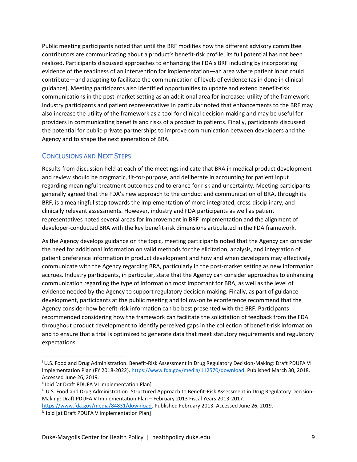Public meeting participants noted that until the BRF modifies how the different advisory committee contributors are communicating about a product's benefit-risk profile, its full potential has not been realized. Participants discussed approaches to enhancing the FDA's BRF including by incorporating evidence of the readiness of an intervention for implementation—an area where patient input could contribute—and adapting to facilitate the communication of levels of evidence (as in done in clinical guidance). Meeting participants also identified opportunities to update and extend benefit-risk communications in the post-market setting as an additional area for increased utility of the framework. Industry participants and patient representatives in particular noted that enhancements to the BRF may also increase the utility of the framework as a tool for clinical decision-making and may be useful for providers in communicating benefits and risks of a product to patients. Finally, participants discussed the potential for public-private partnerships to improve communication between developers and the Agency and to shape the next generation of BRA.

## <span id="page-9-0"></span>CONCLUSIONS AND NEXT STEPS

Results from discussion held at each of the meetings indicate that BRA in medical product development and review should be pragmatic, fit-for-purpose, and deliberate in accounting for patient input regarding meaningful treatment outcomes and tolerance for risk and uncertainty. Meeting participants generally agreed that the FDA's new approach to the conduct and communication of BRA, through its BRF, is a meaningful step towards the implementation of more integrated, cross-disciplinary, and clinically relevant assessments. However, industry and FDA participants as well as patient representatives noted several areas for improvement in BRF implementation and the alignment of developer-conducted BRA with the key benefit-risk dimensions articulated in the FDA framework.

As the Agency develops guidance on the topic, meeting participants noted that the Agency can consider the need for additional information on valid methods for the elicitation, analysis, and integration of patient preference information in product development and how and when developers may effectively communicate with the Agency regarding BRA, particularly in the post-market setting as new information accrues. Industry participants, in particular, state that the Agency can consider approaches to enhancing communication regarding the type of information most important for BRA, as well as the level of evidence needed by the Agency to support regulatory decision-making. Finally, as part of guidance development, participants at the public meeting and follow-on teleconference recommend that the Agency consider how benefit-risk information can be best presented with the BRF. Participants recommended considering how the framework can facilitate the solicitation of feedback from the FDA throughout product development to identify perceived gaps in the collection of benefit-risk information and to ensure that a trial is optimized to generate data that meet statutory requirements and regulatory expectations.

<sup>i</sup> U.S. Food and Drug Administration. Benefit-Risk Assessment in Drug Regulatory Decision-Making: Draft PDUFA VI Implementation Plan (FY 2018-2022). [https://www.fda.gov/media/112570/download.](https://www.fda.gov/media/112570/download) Published March 30, 2018. Accessed June 26, 2019.

ii Ibid [at Draft PDUFA VI Implementation Plan]

iii U.S. Food and Drug Administration. Structured Approach to Benefit-Risk Assessment in Drug Regulatory Decision-Making: Draft PDUFA V Implementation Plan – February 2013 Fiscal Years 2013-2017.

[https://www.fda.gov/media/84831/download.](https://www.fda.gov/media/84831/download) Published February 2013. Accessed June 26, 2019. iv Ibid [at Draft PDUFA V Implementation Plan]